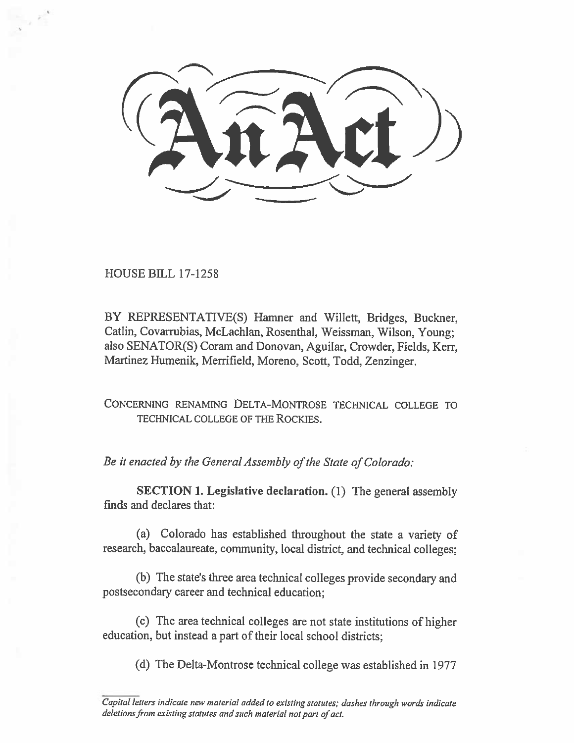HOUSE BILL 17-1258

BY REPRESENTATIVE(S) Hamner and Willett, Bridges, Buckner, Catlin, Covarrubias, McLachlan, Rosenthal, Weissman, Wilson, Young; also SENATOR(S) Coram and Donovan, Aguilar, Crowder, Fields, Kerr, Martinez Humenik, Merrifield, Moreno, Scott, Todd, Zenzinger.

CONCERNING RENAMING DELTA-MONTROSE TECHNICAL COLLEGE TO TECHNICAL COLLEGE OF THE ROCKIES.

*Be it enacted by the General Assembly of the State of Colorado:* 

**SECTION 1. Legislative declaration.** (1) The general assembly finds and declares that:

(a) Colorado has established throughout the state a variety of research, baccalaureate, community, local district, and technical colleges;

(b) The state's three area technical colleges provide secondary and postsecondary career and technical education;

(c) The area technical colleges are not state institutions of higher education, but instead a part of their local school districts;

(d) The Delta-Montrose technical college was established in 1977

*Capital letters indicate new material added to existing statutes; dashes through words indicate deletions from existing statutes and such material not part of act.*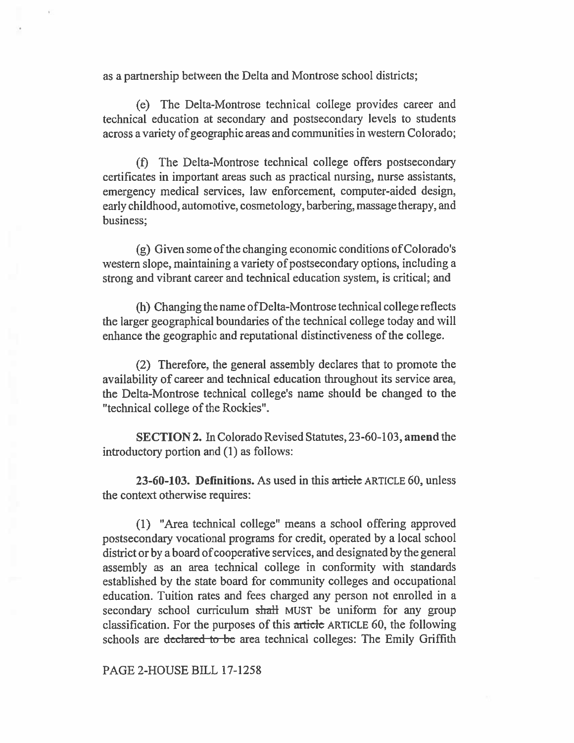as a partnership between the Delta and Montrose school districts;

(e) The Delta-Montrose technical college provides career and technical education at secondary and postsecondary levels to students across a variety of geographic areas and communities in western Colorado;

(f) The Delta-Montrose technical college offers postsecondary certificates in important areas such as practical nursing, nurse assistants, emergency medical services, law enforcement, computer-aided design, early childhood, automotive, cosmetology, barbering, massage therapy, and business;

(g) Given some of the changing economic conditions of Colorado's western slope, maintaining a variety of postsecondary options, including a strong and vibrant career and technical education system, is critical; and

(h) Changing the name ofDelta-Montrose technical college reflects the larger geographical boundaries of the technical college today and will enhance the geographic and reputational distinctiveness of the college.

(2) Therefore, the general assembly declares that to promote the availability of career and technical education throughout its service area, the Delta-Montrose technical college's name should be changed to the "technical college of the Rockies".

SECTION 2. In Colorado Revised Statutes, 23-60-103, amend the introductory portion and (1) as follows:

23-60-103. Definitions. As used in this article ARTICLE 60, unless the context otherwise requires:

(1) "Area technical college" means a school offering approved postsecondary vocational programs for credit, operated by a local school district or by a board of cooperative services, and designated by the general assembly as an area technical college in conformity with standards established by the state board for community colleges and occupational education. Tuition rates and fees charged any person not enrolled in a secondary school curriculum shall MUST be uniform for any group classification. For the purposes of this article ARTICLE 60, the following. schools are declared to be area technical colleges: The Emily Griffith

PAGE 2-HOUSE BILL 17-1258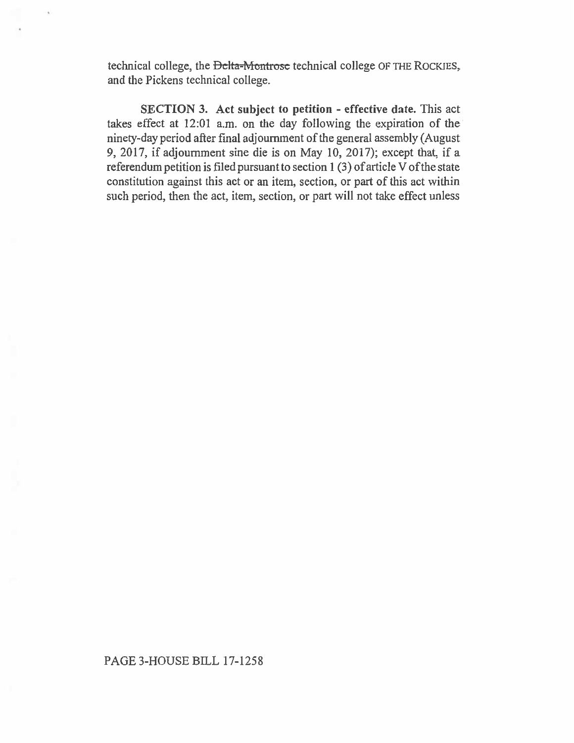technical college, the Delta-Montrose technical college OF THE ROCKIES, and the Pickens technical college.

**SECTION 3. Act subject to petition - effective date.** This act takes effect at 12:01 a.m. on the day following the expiration of the ninety-day period after final adjournment of the general assembly (August 9, 2017, if adjournment sine die is on May 10, 2017); except that, if a referendum petition is filed pursuant to section 1 (3) of article V of the state constitution against this act or an item, section, or part of this act within such period, then the act, item, section, or part will not take effect unless